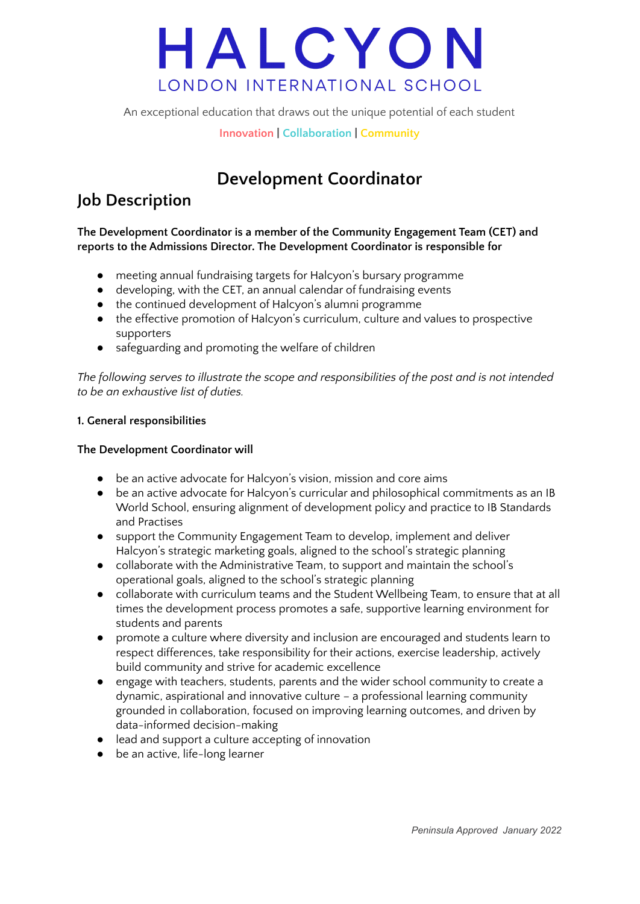An exceptional education that draws out the unique potential of each student

**Innovation | Collaboration | Community**

### **Development Coordinator**

### **Job Description**

**The Development Coordinator is a member of the Community Engagement Team (CET) and reports to the Admissions Director. The Development Coordinator is responsible for**

- meeting annual fundraising targets for Halcyon's bursary programme
- developing, with the CET, an annual calendar of fundraising events
- the continued development of Halcyon's alumni programme
- the effective promotion of Halcyon's curriculum, culture and values to prospective supporters
- safeguarding and promoting the welfare of children

*The following serves to illustrate the scope and responsibilities of the post and is not intended to be an exhaustive list of duties.*

#### **1. General responsibilities**

#### **The Development Coordinator will**

- be an active advocate for Halcyon's vision, mission and core aims
- be an active advocate for Halcyon's curricular and philosophical commitments as an IB World School, ensuring alignment of development policy and practice to IB Standards and Practises
- support the Community Engagement Team to develop, implement and deliver Halcyon's strategic marketing goals, aligned to the school's strategic planning
- collaborate with the Administrative Team, to support and maintain the school's operational goals, aligned to the school's strategic planning
- collaborate with curriculum teams and the Student Wellbeing Team, to ensure that at all times the development process promotes a safe, supportive learning environment for students and parents
- promote a culture where diversity and inclusion are encouraged and students learn to respect differences, take responsibility for their actions, exercise leadership, actively build community and strive for academic excellence
- engage with teachers, students, parents and the wider school community to create a dynamic, aspirational and innovative culture – a professional learning community grounded in collaboration, focused on improving learning outcomes, and driven by data-informed decision-making
- lead and support a culture accepting of innovation
- be an active, life-long learner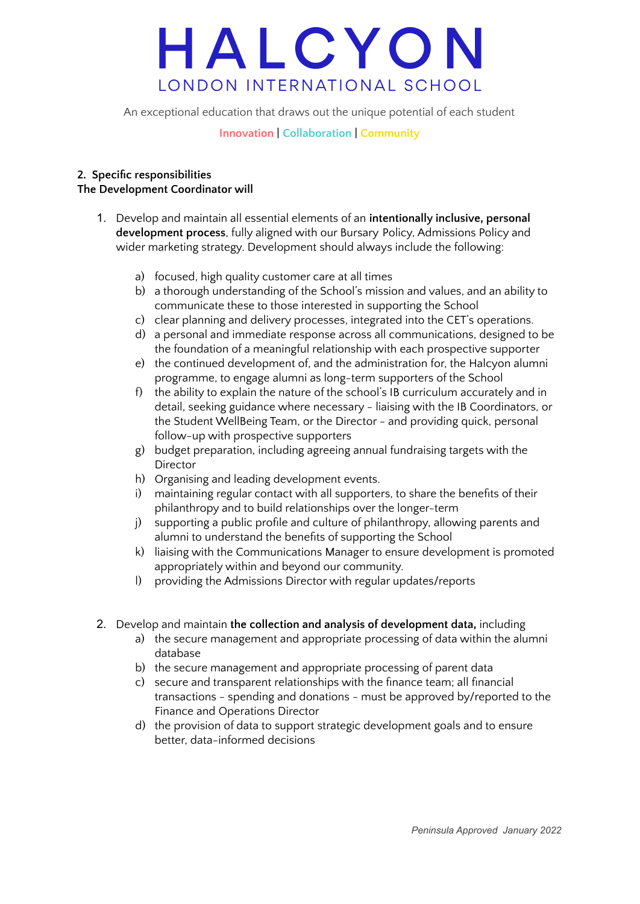An exceptional education that draws out the unique potential of each student

#### **Innovation | Collaboration | Community**

#### **2. Specific responsibilities The Development Coordinator will**

- 1. Develop and maintain all essential elements of an **intentionally inclusive, personal development process**, fully aligned with our Bursary Policy, Admissions Policy and wider marketing strategy. Development should always include the following:
	- a) focused, high quality customer care at all times
	- b) a thorough understanding of the School's mission and values, and an ability to communicate these to those interested in supporting the School
	- c) clear planning and delivery processes, integrated into the CET's operations.
	- d) a personal and immediate response across all communications, designed to be the foundation of a meaningful relationship with each prospective supporter
	- e) the continued development of, and the administration for, the Halcyon alumni programme, to engage alumni as long-term supporters of the School
	- f) the ability to explain the nature of the school's IB curriculum accurately and in detail, seeking guidance where necessary - liaising with the IB Coordinators, or the Student WellBeing Team, or the Director - and providing quick, personal follow-up with prospective supporters
	- g) budget preparation, including agreeing annual fundraising targets with the Director
	- h) Organising and leading development events.
	- maintaining regular contact with all supporters, to share the benefits of their philanthropy and to build relationships over the longer-term
	- j) supporting a public profile and culture of philanthropy, allowing parents and alumni to understand the benefits of supporting the School
	- k) liaising with the Communications Manager to ensure development is promoted appropriately within and beyond our community.
	- l) providing the Admissions Director with regular updates/reports
- 2. Develop and maintain **the collection and analysis of development data,** including
	- a) the secure management and appropriate processing of data within the alumni database
	- b) the secure management and appropriate processing of parent data
	- c) secure and transparent relationships with the finance team; all financial transactions - spending and donations - must be approved by/reported to the Finance and Operations Director
	- d) the provision of data to support strategic development goals and to ensure better, data-informed decisions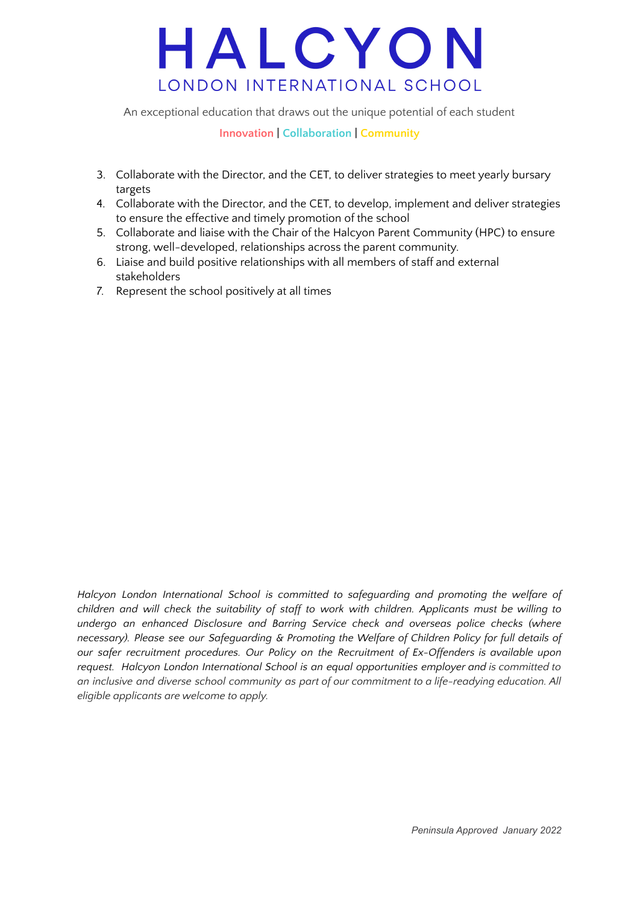An exceptional education that draws out the unique potential of each student

#### **Innovation | Collaboration | Community**

- 3. Collaborate with the Director, and the CET, to deliver strategies to meet yearly bursary targets
- 4. Collaborate with the Director, and the CET, to develop, implement and deliver strategies to ensure the effective and timely promotion of the school
- 5. Collaborate and liaise with the Chair of the Halcyon Parent Community (HPC) to ensure strong, well-developed, relationships across the parent community.
- 6. Liaise and build positive relationships with all members of staff and external stakeholders
- 7. Represent the school positively at all times

*Halcyon London International School is committed to safeguarding and promoting the welfare of children and will check the suitability of staff to work with children. Applicants must be willing to undergo an enhanced Disclosure and Barring Service check and overseas police checks (where necessary). Please see our Safeguarding & Promoting the Welfare of Children Policy for full details of our safer recruitment procedures. Our Policy on the Recruitment of Ex-Offenders is available upon request. Halcyon London International School is an equal opportunities employer and is committed to an inclusive and diverse school community as part of our commitment to a life-readying education. All eligible applicants are welcome to apply.*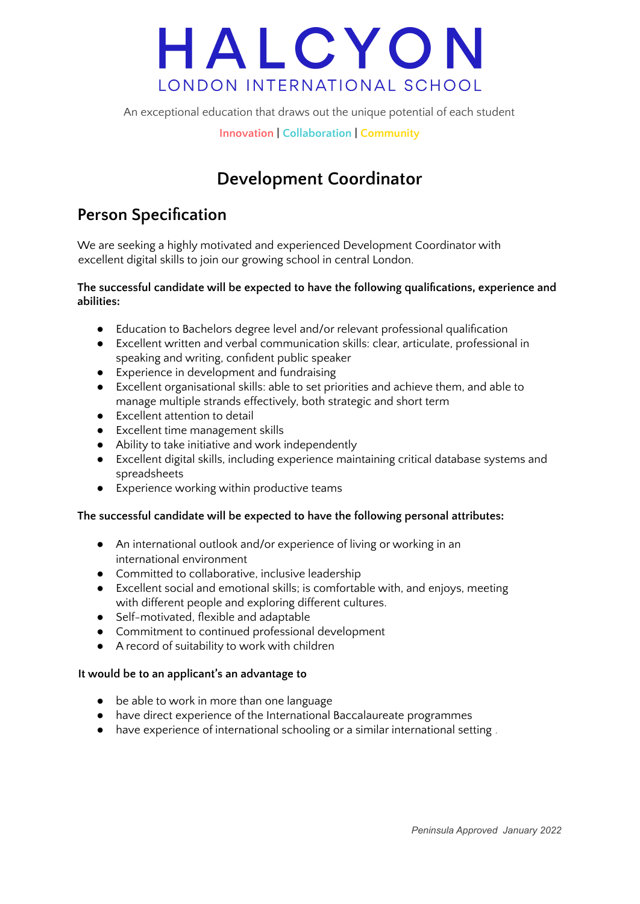

An exceptional education that draws out the unique potential of each student

**Innovation | Collaboration | Community**

### **Development Coordinator**

### **Person Specification**

We are seeking a highly motivated and experienced Development Coordinator with excellent digital skills to join our growing school in central London.

#### **The successful candidate will be expected to have the following qualifications, experience and abilities:**

- Education to Bachelors degree level and/or relevant professional qualification
- Excellent written and verbal communication skills: clear, articulate, professional in speaking and writing, confident public speaker
- Experience in development and fundraising
- Excellent organisational skills: able to set priorities and achieve them, and able to manage multiple strands effectively, both strategic and short term
- Excellent attention to detail
- Excellent time management skills
- Ability to take initiative and work independently
- Excellent digital skills, including experience maintaining critical database systems and spreadsheets
- Experience working within productive teams

#### **The successful candidate will be expected to have the following personal attributes:**

- An international outlook and/or experience of living or working in an international environment
- Committed to collaborative, inclusive leadership
- Excellent social and emotional skills; is comfortable with, and enjoys, meeting with different people and exploring different cultures.
- Self-motivated, flexible and adaptable
- Commitment to continued professional development
- A record of suitability to work with children

#### **It would be to an applicant's an advantage to**

- be able to work in more than one language
- have direct experience of the International Baccalaureate programmes
- have experience of international schooling or a similar international setting *.*